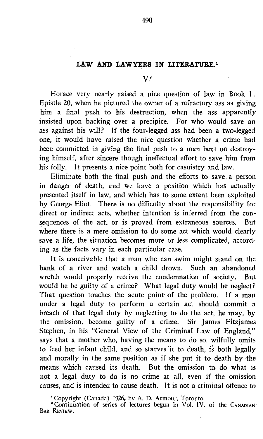## LAW AND LAWYERS IN LITERATURE.<sup>1</sup>  $V<sup>2</sup>$

Horace very nearly raised a nice question of law in Book I., Epistle 20, when he pictured the owner of a refractory ass as giving him a final push to his destruction, when the ass apparently insisted upon backing over a precipice. For who would save an ass against his will? If the four-legged ass had been a two-legged one, it would have raised the nice question whether a crime had been committed in giving the final push to <sup>a</sup> man bent on destroying himself, after sincere though ineffectual effort to save him from his folly. It presents a nice point both for casuistry and law.

Eliminate both the final push and the efforts to save a person in danger of death, and we have a position which has actually presented itself in law, and which has to some extent been exploited by George Eliot. There is no difficulty about the responsibility for direct or indirect acts, whether intention is inferred from the consequences of the act, or is proved from extraneous sources. But where there is a mere omission to do some act which would clearly save a life, the situation becomes more or less complicated, according as the facts vary in each particular case.

It is conceivable that a man who can swim might stand on the lk of a river and watch a child drown. Such an abandoned bank of a river and watch a child drown. Such an abandoned<br>wretch would properly receive the condemnation of society. But wretch would properly receive the condemnation of society. would he be guilty of <sup>a</sup> crime? What legal duty would he neglect? That question touches the acute point of the problem. If a man under a legal duty to perform a certain act should commit a breach of that legal duty by neglecting to do the act, he may, by the omission, become guilty of a crime. Sir James Fitzjames Stephen, in his "General View of the Criminal Law of England," says that a mother who, having the means to do so, wilfully omits to feed her infant child, and so starves 'it to death, is both legally and morally in the same position as if she put it to death by the means which caused its death. But the omission to do what is not a legal duty to do is no crime at all, even if the omission causes, and is intended to cause death. It is not a criminal offence to

' Copyright (Canada) 1926, by A. D. Armour, Toronto.

<sup>2</sup> Continuation of series of lectures begun in Vol. IV. of the CANADIAN BAR REVIEW.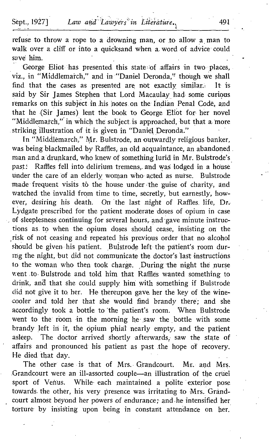refuse to throw a rope to a drowning man, or to allow a man to walk over a cliff or into a quicksand when a word of advice could save him.

George Eliot has presented this state of affairs in two places, viz., in "Middlemarch," and in "Daniel Deronda," though we shall find that the cases as presented are not exactly similar. It is said by Sir James Stephen that Lord Macaulay, had. some curious remarks on this subject in his notes on the Indian Penal Code, and that he (Sir James) lent the book to George Ehot for her novel "Middlemarch," in which the subject is approached, but that a more striking illustration of it is given in "Daniel Deronda."

In "Middlëmarch," Mr. Bulstrode, an outwardly religious banker, was being blackmailed by Raffles, an old acquaintance, an abandoned . man and. <sup>a</sup> drunkard, who knew of something lurid in Mr. Bulstrode's past: Raffles fell into delirium tremens, and was lodged in a house under the care of an elderly woman who acted as nurse. Bulstrode made frequent visits to the house under the guise of charity, and watched the invalid from time to time, secretly, but earnestly, however, desiring his death. On the last night of Raffles life, Dr. Lydgate prescribed for the patient moderate doses of opium in case of sleeplesness continuing for several hours, and gave minute instructions as . to when the opium doses should cease, insisting on the risk of not ceasing and repeated his previous order that no alcohol should be given his patient. Bulstrode left the patient's room during the night, but did not communicate the doctor's last instructions to the woman who then took charge. During the night the nurse went to Bulstrode and told him that Raffles wanted something to drink, and that she could supply him with something if Bulstrode did not give it to her. He thereupon gave her the key of the winecooler and told her that she would find brandy there; and she accordingly took a bottle to 'the patient's room. When Bulstrode went to the room in the morning he saw the bottle with some brandy left in it, the opium phial nearly empty, and the patient asleep. The doctor arrived shortly afterwards, saw the state of affairs and pronounced- his patient as past the hope of recovery. He died that day.

The other case is that of Mrs. Grandcourt. Mr. and Mrs. Grandcourt were an ill-assorted couple-an illustration of the cruel sport of Venus. While- each maintained a polite exterior pose towards the other, his very presence was irritating to Mrs. Grandcourt almost beyond her powers of endurance; and he intensified her torture by insisting upon being in constant attendance on her.

)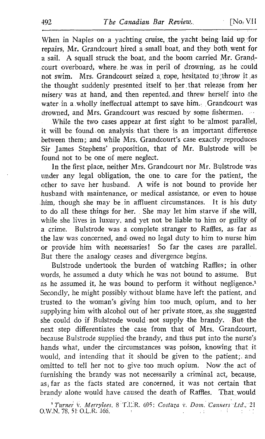When in Naples on a yachting cruise, the yacht being laid up for repairs, Mr. Grandcourt hired <sup>a</sup> small boat, and they both, went for a sail . A squall struck the boat, and the boom carried Mr. Grandcourt overboard, where he was in peril of drowning, as he could not swim. Mrs. Grandcourt seized a rope, hesitated to throw it as the thought suddenly presented itself to her that release from her misery was at hand, and then repented, and threw herself into the water in a wholly ineffectual attempt to save him. . Grandcourt was drowned, and Mrs. Grandcourt was rescued by some fishermen.

While the two cases appear at first sight to be almost parallel, it will be found on analysis that there is an important difference between theme and while Mrs. Grandcourt's case exactly reproduces Sir James Stephens' proposition, that of Mr. Bulstrode will be found not to be one of mere neglect.

In the first place, neither Mrs. Grandcourt nor Mr. Bulstrode was under any legal obligation, the one to care for the patient, the other to save her husband. A wife is not bound to provide her husband with maintenance, or medical assistance, or even to house<br>him, though she may be in affluent circumstances. It is his duty .him, though she may be in affluent circumstances. to do all these things for her. \_ She may let him starve if she will, while she lives in luxury, and yet not be liable to him or guilty of a crime. Bulstrode was a complete stranger to Raffles, as- far as the law was concerned, and- owed no legal duty to him to nurse him or provide him with necessaries! So far the cases are parallel. But there the analogy ceases and divergence begins.

Bulstrode undertook the burden of watching Raffles; in other ds. he assumed a duty which he was not bound to assume. But words, he assumed a duty which he was not bound to assume. as he assumed it, he was bound to perform it without negligence.<sup>1</sup> Secondly, he might possibly, without blame, have left the patient, and trusted to the woman's giving him too much opium, and to her supplying him with alcohol out of her private store, as she suggested she could do if Bulstrode would , not supply the brandy, - But the next step differentiates the case from that of Mrs. Grandcourt, because Bulstrode supplied the brandy, and thus put into the nurse's hands what, under the circumstances was poison, knowing that it would, and intending that it should be given to the patient; and omitted to tell her not to give .too much opium. Now the act of furnishing the brandy was not necessarily a criminal act, because, as far as the facts stated are concerned, it was not certain that brandy alone would have caused the death of Raffles. That would

<sup>1</sup> Turner v. Merrylees, 8 T.L.R. 695; Costaza v. Dom. Canners Ltd., 21 0.W.N. 78, 51- O.L.R: 166.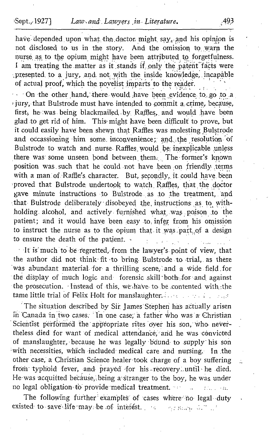have depended upon what the doctor might  $say$ , and his opinion is not disclosed to us in the story. And the omission to warn the nurse as to the opium might have been attributed to forgetfulness. I am treating the matter as it stands if only the patent facts were presented to a jury, and not with the inside knowledge, incapable of actual proof, which the novelist imparts to the reader.

On the other hand, there would have been evidence to go to a jury, that Bulstrode must have intended to commit a crime, because, first, he was being blackmailed by Raffles, and would have been glad to get rid of him. This might have been difficult to prove, but it could easily have been shewn that Raffles was molesting Bulstrode and occassioning him some inconvenience; and the resolution of Bulstrode to watch and nurse Raffles would be inexplicable unless there was some unseen bond between them. The former's known position was such that he could not have been on friendly terms with a man of Raffle's character. But, secondly, it could have been proved that Bulstrode undertook to watch Raffles, that the doctor gave minute instructions to Bulstrode as to the treatment, and that Bulstrode deliberately disobeyed the instructions as to withholding alcohol, and actively furnished what was poison to the patient; and it would have been easy to infer from his omission to instruct the nurse as to the opium that it was part of a design to ensure the death of the patient.  $\cdot$ 

It is much to be regretted, from the lawyer's point of view, that the author did not think fit to bring Bulstrode to trial, as there was abundant material for a thrilling scene, and a wide field for the display of much logic and forensic skill both for and against the prosecution. Instead of this, we have to be contented with the tame little trial of Felix Holt for manslaughter . . . . . : . - . . :

The situation described by Sir James Stephen has actually arisen in Canada in two cases. 'In one case, a father who was a Christian Scientist performed the appropriate rites over his son, who nevertheless died for want of medical attendance, and he was convicted of manslaughter, because he was legally bound to supply his son with necessities, which included- medical care and nursing. In the other case,'a Christian Science healer took charge of a boy suffering from typhoid fever, and prayed for his recovery until he died. He was acquitted becàuse,;being a°stranger to the boy, he was under no legal obligation to provide medical treatment.  $\mathcal{L}_{\mathbf{r}}$ 

The following further examples of cases where no legal duty existed to save .life may: be .Df interest . . , . , . .,

 $\ddot{\mathbb{Z}}$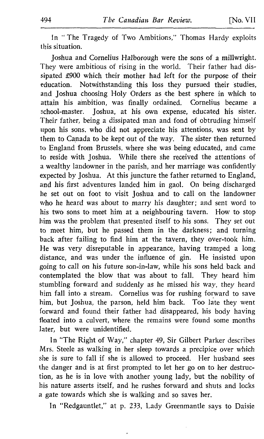In "The Tragedy of Two Ambitions," Thomas Hardy exploits this situation .

Joshua and Cornelius Halborough were the sons of a millwright. They were ambitious of rising in the world. Their father had dissipated £900 which their mother had left for the purpose of their<br>education. Notwithstanding this loss they pursued their studies. Notwithstanding this loss they pursued their studies, and Joshua choosing Holy Orders as the best sphere in which to attain his ambition, was finally ordained. Cornelius became a school-master. Joshua, at his own expense, educated his sister. Their father, being <sup>a</sup> dissipated man and fond of obtruding himself upon his sons. who did not appreciate his attentions, was sent by them to Canada to be kept out of the way. The sister then returned to England from Brussels, where she was being educated, and came to reside with Joshua. While there she received the attentions of a wealthy landowner in the parish, and her marriage was confidently expected by Joshua. At this juncture the father returned to England, and his first adventures landed him in gaol. On being discharged lie set out on foot to visit Joshua and to call on the landowner who he heard was about to marry his daughter; and sent word to his two sons to meet him at a neighbouring tavern. How to stop him was the problem that presented itself to his sons. They set out to meet him, but he passed them in the darkness; and turning back after failing to find him at the tavern, they over-took him. He was very disreputable in appearance, having tramped a long distance, and was under the influence of gin . He insisted upon going to call on his future son-in-law, while his sons held back and contemplated the blow that was about to fall. They heard him stumbling forward and suddenly as he missed his way, they heard him fall into a stream. Cornelius was for rushing forward to save him, but Joshua, the parson, held him back. Too late they went forward and found their father had disappeared, his body having floated into a culvert, where the remains were found some months later, but were unidentified.

In "The Right of Way," chapter 49, Sir Gilbert Parker describes Mrs. Steele as walking in her sleep towards a precipice over which she is sure to fall if she is allowed to proceed. Her husband sees the danger and is at first prompted to let her go on to her destruction, as he is in love with another young lady, but the nobility of his nature asserts itself, and he rushes forward and shuts and locks a gate towards which she is walking and so saves her.

In "Redgauntlet," at p. 233, Lady Greenmantle says to Daisie